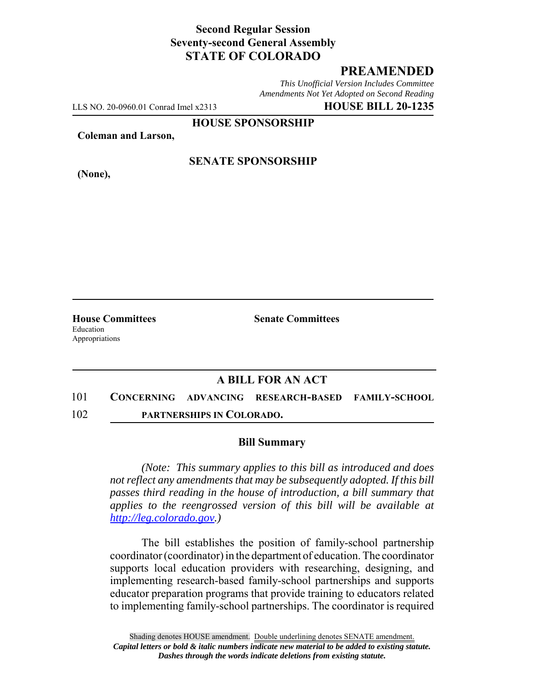## **Second Regular Session Seventy-second General Assembly STATE OF COLORADO**

# **PREAMENDED**

*This Unofficial Version Includes Committee Amendments Not Yet Adopted on Second Reading*

LLS NO. 20-0960.01 Conrad Imel x2313 **HOUSE BILL 20-1235**

**HOUSE SPONSORSHIP**

**Coleman and Larson,**

**(None),**

## **SENATE SPONSORSHIP**

**House Committees Senate Committees** Education Appropriations

### **A BILL FOR AN ACT**

101 **CONCERNING ADVANCING RESEARCH-BASED FAMILY-SCHOOL** 102 **PARTNERSHIPS IN COLORADO.**

#### **Bill Summary**

*(Note: This summary applies to this bill as introduced and does not reflect any amendments that may be subsequently adopted. If this bill passes third reading in the house of introduction, a bill summary that applies to the reengrossed version of this bill will be available at http://leg.colorado.gov.)*

The bill establishes the position of family-school partnership coordinator (coordinator) in the department of education. The coordinator supports local education providers with researching, designing, and implementing research-based family-school partnerships and supports educator preparation programs that provide training to educators related to implementing family-school partnerships. The coordinator is required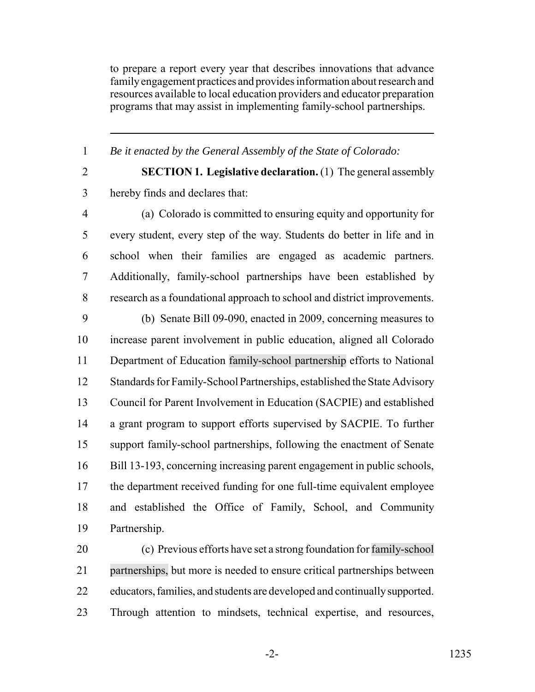to prepare a report every year that describes innovations that advance family engagement practices and provides information about research and resources available to local education providers and educator preparation programs that may assist in implementing family-school partnerships.

*Be it enacted by the General Assembly of the State of Colorado:*

 **SECTION 1. Legislative declaration.** (1) The general assembly hereby finds and declares that:

 (a) Colorado is committed to ensuring equity and opportunity for every student, every step of the way. Students do better in life and in school when their families are engaged as academic partners. Additionally, family-school partnerships have been established by research as a foundational approach to school and district improvements.

 (b) Senate Bill 09-090, enacted in 2009, concerning measures to increase parent involvement in public education, aligned all Colorado Department of Education family-school partnership efforts to National Standards for Family-School Partnerships, established the State Advisory Council for Parent Involvement in Education (SACPIE) and established a grant program to support efforts supervised by SACPIE. To further support family-school partnerships, following the enactment of Senate Bill 13-193, concerning increasing parent engagement in public schools, the department received funding for one full-time equivalent employee and established the Office of Family, School, and Community Partnership.

 (c) Previous efforts have set a strong foundation for family-school partnerships, but more is needed to ensure critical partnerships between educators, families, and students are developed and continually supported. Through attention to mindsets, technical expertise, and resources,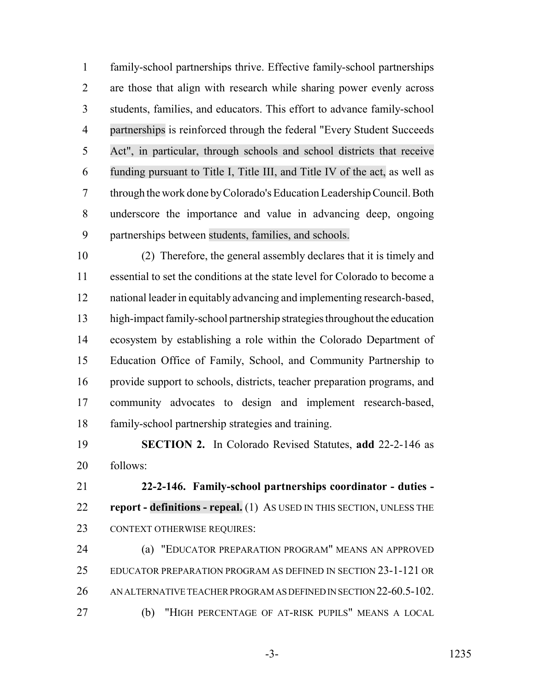family-school partnerships thrive. Effective family-school partnerships are those that align with research while sharing power evenly across students, families, and educators. This effort to advance family-school partnerships is reinforced through the federal "Every Student Succeeds Act", in particular, through schools and school districts that receive funding pursuant to Title I, Title III, and Title IV of the act, as well as through the work done by Colorado's Education Leadership Council. Both underscore the importance and value in advancing deep, ongoing partnerships between students, families, and schools.

 (2) Therefore, the general assembly declares that it is timely and essential to set the conditions at the state level for Colorado to become a national leader in equitably advancing and implementing research-based, high-impact family-school partnership strategies throughout the education ecosystem by establishing a role within the Colorado Department of Education Office of Family, School, and Community Partnership to provide support to schools, districts, teacher preparation programs, and community advocates to design and implement research-based, family-school partnership strategies and training.

 **SECTION 2.** In Colorado Revised Statutes, **add** 22-2-146 as follows:

 **22-2-146. Family-school partnerships coordinator - duties - report - definitions - repeal.** (1) AS USED IN THIS SECTION, UNLESS THE CONTEXT OTHERWISE REQUIRES:

 (a) "EDUCATOR PREPARATION PROGRAM" MEANS AN APPROVED EDUCATOR PREPARATION PROGRAM AS DEFINED IN SECTION 23-1-121 OR AN ALTERNATIVE TEACHER PROGRAM AS DEFINED IN SECTION 22-60.5-102. (b) "HIGH PERCENTAGE OF AT-RISK PUPILS" MEANS A LOCAL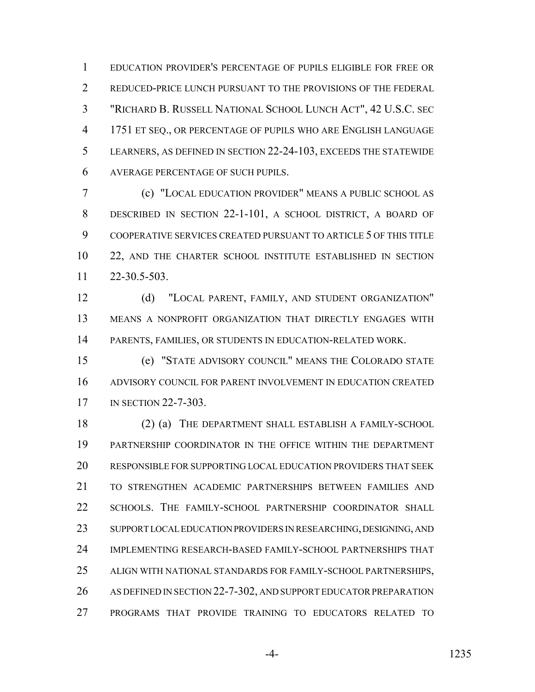EDUCATION PROVIDER'S PERCENTAGE OF PUPILS ELIGIBLE FOR FREE OR 2 REDUCED-PRICE LUNCH PURSUANT TO THE PROVISIONS OF THE FEDERAL "RICHARD B. RUSSELL NATIONAL SCHOOL LUNCH ACT", 42 U.S.C. SEC 1751 ET SEQ., OR PERCENTAGE OF PUPILS WHO ARE ENGLISH LANGUAGE LEARNERS, AS DEFINED IN SECTION 22-24-103, EXCEEDS THE STATEWIDE AVERAGE PERCENTAGE OF SUCH PUPILS.

 (c) "LOCAL EDUCATION PROVIDER" MEANS A PUBLIC SCHOOL AS DESCRIBED IN SECTION 22-1-101, A SCHOOL DISTRICT, A BOARD OF COOPERATIVE SERVICES CREATED PURSUANT TO ARTICLE 5 OF THIS TITLE 22, AND THE CHARTER SCHOOL INSTITUTE ESTABLISHED IN SECTION 22-30.5-503.

12 (d) "LOCAL PARENT, FAMILY, AND STUDENT ORGANIZATION" MEANS A NONPROFIT ORGANIZATION THAT DIRECTLY ENGAGES WITH PARENTS, FAMILIES, OR STUDENTS IN EDUCATION-RELATED WORK.

 (e) "STATE ADVISORY COUNCIL" MEANS THE COLORADO STATE ADVISORY COUNCIL FOR PARENT INVOLVEMENT IN EDUCATION CREATED 17 IN SECTION 22-7-303.

 (2) (a) THE DEPARTMENT SHALL ESTABLISH A FAMILY-SCHOOL PARTNERSHIP COORDINATOR IN THE OFFICE WITHIN THE DEPARTMENT RESPONSIBLE FOR SUPPORTING LOCAL EDUCATION PROVIDERS THAT SEEK TO STRENGTHEN ACADEMIC PARTNERSHIPS BETWEEN FAMILIES AND SCHOOLS. THE FAMILY-SCHOOL PARTNERSHIP COORDINATOR SHALL SUPPORT LOCAL EDUCATION PROVIDERS IN RESEARCHING, DESIGNING, AND IMPLEMENTING RESEARCH-BASED FAMILY-SCHOOL PARTNERSHIPS THAT ALIGN WITH NATIONAL STANDARDS FOR FAMILY-SCHOOL PARTNERSHIPS, AS DEFINED IN SECTION 22-7-302, AND SUPPORT EDUCATOR PREPARATION PROGRAMS THAT PROVIDE TRAINING TO EDUCATORS RELATED TO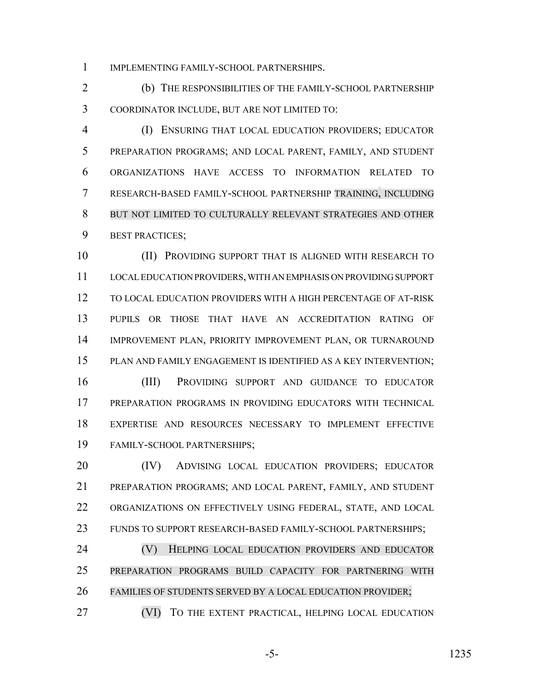IMPLEMENTING FAMILY-SCHOOL PARTNERSHIPS.

 (b) THE RESPONSIBILITIES OF THE FAMILY-SCHOOL PARTNERSHIP COORDINATOR INCLUDE, BUT ARE NOT LIMITED TO:

 (I) ENSURING THAT LOCAL EDUCATION PROVIDERS; EDUCATOR PREPARATION PROGRAMS; AND LOCAL PARENT, FAMILY, AND STUDENT ORGANIZATIONS HAVE ACCESS TO INFORMATION RELATED TO RESEARCH-BASED FAMILY-SCHOOL PARTNERSHIP TRAINING, INCLUDING BUT NOT LIMITED TO CULTURALLY RELEVANT STRATEGIES AND OTHER BEST PRACTICES;

 (II) PROVIDING SUPPORT THAT IS ALIGNED WITH RESEARCH TO LOCAL EDUCATION PROVIDERS, WITH AN EMPHASIS ON PROVIDING SUPPORT TO LOCAL EDUCATION PROVIDERS WITH A HIGH PERCENTAGE OF AT-RISK PUPILS OR THOSE THAT HAVE AN ACCREDITATION RATING OF IMPROVEMENT PLAN, PRIORITY IMPROVEMENT PLAN, OR TURNAROUND PLAN AND FAMILY ENGAGEMENT IS IDENTIFIED AS A KEY INTERVENTION;

 (III) PROVIDING SUPPORT AND GUIDANCE TO EDUCATOR PREPARATION PROGRAMS IN PROVIDING EDUCATORS WITH TECHNICAL EXPERTISE AND RESOURCES NECESSARY TO IMPLEMENT EFFECTIVE FAMILY-SCHOOL PARTNERSHIPS;

 (IV) ADVISING LOCAL EDUCATION PROVIDERS; EDUCATOR PREPARATION PROGRAMS; AND LOCAL PARENT, FAMILY, AND STUDENT ORGANIZATIONS ON EFFECTIVELY USING FEDERAL, STATE, AND LOCAL FUNDS TO SUPPORT RESEARCH-BASED FAMILY-SCHOOL PARTNERSHIPS;

 (V) HELPING LOCAL EDUCATION PROVIDERS AND EDUCATOR PREPARATION PROGRAMS BUILD CAPACITY FOR PARTNERING WITH FAMILIES OF STUDENTS SERVED BY A LOCAL EDUCATION PROVIDER;

(VI) TO THE EXTENT PRACTICAL, HELPING LOCAL EDUCATION

-5- 1235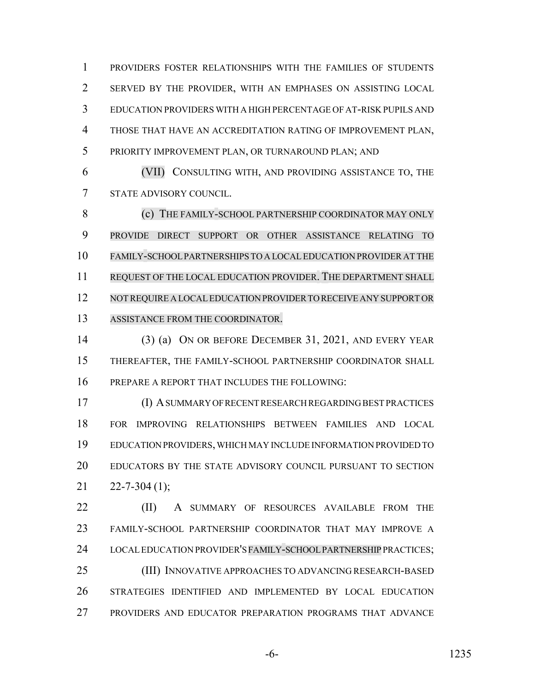PROVIDERS FOSTER RELATIONSHIPS WITH THE FAMILIES OF STUDENTS SERVED BY THE PROVIDER, WITH AN EMPHASES ON ASSISTING LOCAL EDUCATION PROVIDERS WITH A HIGH PERCENTAGE OF AT-RISK PUPILS AND THOSE THAT HAVE AN ACCREDITATION RATING OF IMPROVEMENT PLAN, PRIORITY IMPROVEMENT PLAN, OR TURNAROUND PLAN; AND

 (VII) CONSULTING WITH, AND PROVIDING ASSISTANCE TO, THE STATE ADVISORY COUNCIL.

**(c)** THE FAMILY-SCHOOL PARTNERSHIP COORDINATOR MAY ONLY PROVIDE DIRECT SUPPORT OR OTHER ASSISTANCE RELATING TO FAMILY-SCHOOL PARTNERSHIPS TO A LOCAL EDUCATION PROVIDER AT THE REQUEST OF THE LOCAL EDUCATION PROVIDER. THE DEPARTMENT SHALL NOTREQUIRE A LOCALEDUCATION PROVIDER TO RECEIVE ANY SUPPORT OR ASSISTANCE FROM THE COORDINATOR.

 (3) (a) ON OR BEFORE DECEMBER 31, 2021, AND EVERY YEAR THEREAFTER, THE FAMILY-SCHOOL PARTNERSHIP COORDINATOR SHALL PREPARE A REPORT THAT INCLUDES THE FOLLOWING:

 (I) A SUMMARY OF RECENT RESEARCH REGARDING BEST PRACTICES FOR IMPROVING RELATIONSHIPS BETWEEN FAMILIES AND LOCAL EDUCATION PROVIDERS, WHICH MAY INCLUDE INFORMATION PROVIDED TO EDUCATORS BY THE STATE ADVISORY COUNCIL PURSUANT TO SECTION  $21 \quad 22 - 7 - 304 \tag{1}$ :

**(II)** A SUMMARY OF RESOURCES AVAILABLE FROM THE FAMILY-SCHOOL PARTNERSHIP COORDINATOR THAT MAY IMPROVE A 24 LOCAL EDUCATION PROVIDER'S FAMILY-SCHOOL PARTNERSHIP PRACTICES; (III) INNOVATIVE APPROACHES TO ADVANCING RESEARCH-BASED STRATEGIES IDENTIFIED AND IMPLEMENTED BY LOCAL EDUCATION PROVIDERS AND EDUCATOR PREPARATION PROGRAMS THAT ADVANCE

-6- 1235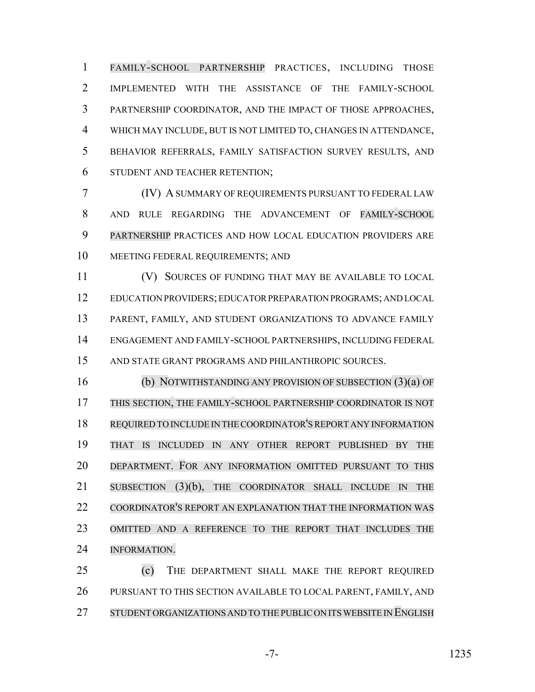FAMILY-SCHOOL PARTNERSHIP PRACTICES, INCLUDING THOSE IMPLEMENTED WITH THE ASSISTANCE OF THE FAMILY-SCHOOL PARTNERSHIP COORDINATOR, AND THE IMPACT OF THOSE APPROACHES, WHICH MAY INCLUDE, BUT IS NOT LIMITED TO, CHANGES IN ATTENDANCE, BEHAVIOR REFERRALS, FAMILY SATISFACTION SURVEY RESULTS, AND STUDENT AND TEACHER RETENTION;

 (IV) A SUMMARY OF REQUIREMENTS PURSUANT TO FEDERAL LAW AND RULE REGARDING THE ADVANCEMENT OF FAMILY-SCHOOL PARTNERSHIP PRACTICES AND HOW LOCAL EDUCATION PROVIDERS ARE MEETING FEDERAL REQUIREMENTS; AND

11 (V) SOURCES OF FUNDING THAT MAY BE AVAILABLE TO LOCAL EDUCATION PROVIDERS; EDUCATOR PREPARATION PROGRAMS; AND LOCAL PARENT, FAMILY, AND STUDENT ORGANIZATIONS TO ADVANCE FAMILY ENGAGEMENT AND FAMILY-SCHOOL PARTNERSHIPS, INCLUDING FEDERAL AND STATE GRANT PROGRAMS AND PHILANTHROPIC SOURCES.

 (b) NOTWITHSTANDING ANY PROVISION OF SUBSECTION (3)(a) OF THIS SECTION, THE FAMILY-SCHOOL PARTNERSHIP COORDINATOR IS NOT REQUIRED TO INCLUDE IN THE COORDINATOR'SREPORT ANY INFORMATION THAT IS INCLUDED IN ANY OTHER REPORT PUBLISHED BY THE DEPARTMENT. FOR ANY INFORMATION OMITTED PURSUANT TO THIS 21 SUBSECTION (3)(b), THE COORDINATOR SHALL INCLUDE IN THE COORDINATOR'S REPORT AN EXPLANATION THAT THE INFORMATION WAS OMITTED AND A REFERENCE TO THE REPORT THAT INCLUDES THE INFORMATION.

 (c) THE DEPARTMENT SHALL MAKE THE REPORT REQUIRED PURSUANT TO THIS SECTION AVAILABLE TO LOCAL PARENT, FAMILY, AND 27 STUDENT ORGANIZATIONS AND TO THE PUBLIC ON ITS WEBSITE IN ENGLISH

-7- 1235